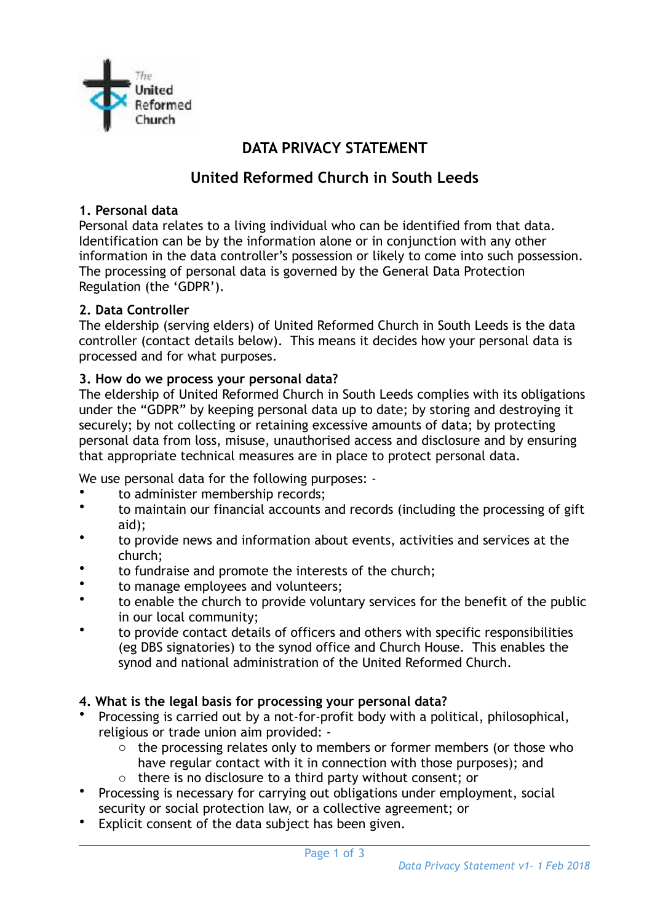

# **DATA PRIVACY STATEMENT**

# **United Reformed Church in South Leeds**

#### **1. Personal data**

Personal data relates to a living individual who can be identified from that data. Identification can be by the information alone or in conjunction with any other information in the data controller's possession or likely to come into such possession. The processing of personal data is governed by the General Data Protection Regulation (the 'GDPR').

#### **2. Data Controller**

The eldership (serving elders) of United Reformed Church in South Leeds is the data controller (contact details below). This means it decides how your personal data is processed and for what purposes.

#### **3. How do we process your personal data?**

The eldership of United Reformed Church in South Leeds complies with its obligations under the "GDPR" by keeping personal data up to date; by storing and destroying it securely; by not collecting or retaining excessive amounts of data; by protecting personal data from loss, misuse, unauthorised access and disclosure and by ensuring that appropriate technical measures are in place to protect personal data.

We use personal data for the following purposes: -

- to administer membership records;
- to maintain our financial accounts and records (including the processing of gift aid);
- to provide news and information about events, activities and services at the church;
- to fundraise and promote the interests of the church;
- to manage employees and volunteers;
- to enable the church to provide voluntary services for the benefit of the public in our local community;
- to provide contact details of officers and others with specific responsibilities (eg DBS signatories) to the synod office and Church House. This enables the synod and national administration of the United Reformed Church.

## **4. What is the legal basis for processing your personal data?**

- Processing is carried out by a not-for-profit body with a political, philosophical, religious or trade union aim provided:
	- o the processing relates only to members or former members (or those who have regular contact with it in connection with those purposes); and
	- o there is no disclosure to a third party without consent; or
- Processing is necessary for carrying out obligations under employment, social security or social protection law, or a collective agreement; or
- Explicit consent of the data subject has been given.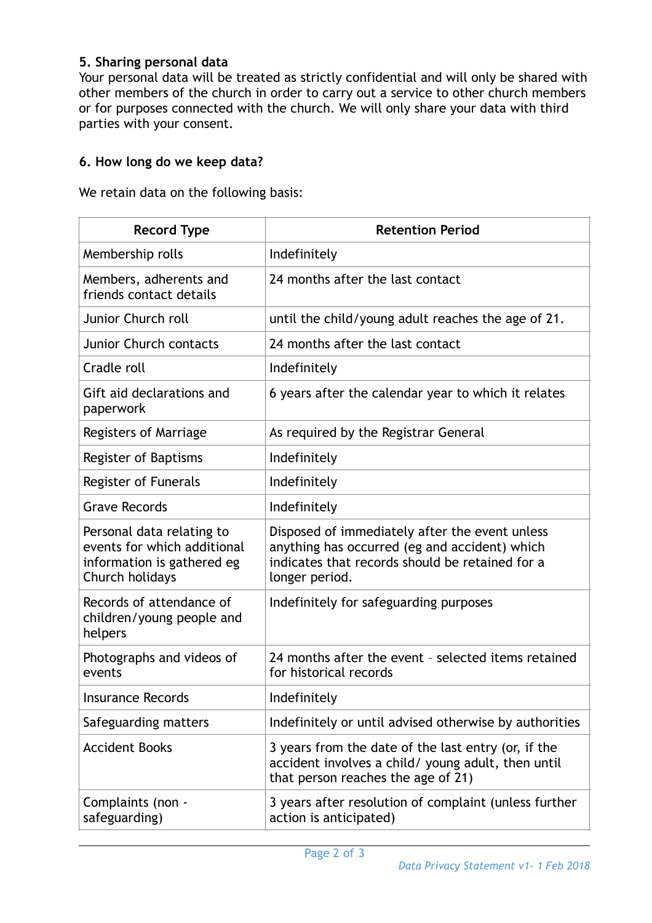#### **5. Sharing personal data**

Your personal data will be treated as strictly confidential and will only be shared with other members of the church in order to carry out a service to other church members or for purposes connected with the church. We will only share your data with third parties with your consent.

#### **6. How long do we keep data?**

We retain data on the following basis:

| <b>Record Type</b>                                                                                        | <b>Retention Period</b>                                                                                                                                              |
|-----------------------------------------------------------------------------------------------------------|----------------------------------------------------------------------------------------------------------------------------------------------------------------------|
| Membership rolls                                                                                          | Indefinitely                                                                                                                                                         |
| Members, adherents and<br>friends contact details                                                         | 24 months after the last contact                                                                                                                                     |
| Junior Church roll                                                                                        | until the child/young adult reaches the age of 21.                                                                                                                   |
| <b>Junior Church contacts</b>                                                                             | 24 months after the last contact                                                                                                                                     |
| Cradle roll                                                                                               | Indefinitely                                                                                                                                                         |
| Gift aid declarations and<br>paperwork                                                                    | 6 years after the calendar year to which it relates                                                                                                                  |
| Registers of Marriage                                                                                     | As required by the Registrar General                                                                                                                                 |
| Register of Baptisms                                                                                      | Indefinitely                                                                                                                                                         |
| Register of Funerals                                                                                      | Indefinitely                                                                                                                                                         |
| <b>Grave Records</b>                                                                                      | Indefinitely                                                                                                                                                         |
| Personal data relating to<br>events for which additional<br>information is gathered eg<br>Church holidays | Disposed of immediately after the event unless<br>anything has occurred (eg and accident) which<br>indicates that records should be retained for a<br>longer period. |
| Records of attendance of<br>children/young people and<br>helpers                                          | Indefinitely for safeguarding purposes                                                                                                                               |
| Photographs and videos of<br>events                                                                       | 24 months after the event - selected items retained<br>for historical records                                                                                        |
| Insurance Records                                                                                         | Indefinitely                                                                                                                                                         |
| Safeguarding matters                                                                                      | Indefinitely or until advised otherwise by authorities                                                                                                               |
| <b>Accident Books</b>                                                                                     | 3 years from the date of the last entry (or, if the<br>accident involves a child/ young adult, then until<br>that person reaches the age of 21)                      |
| Complaints (non -<br>safeguarding)                                                                        | 3 years after resolution of complaint (unless further<br>action is anticipated)                                                                                      |